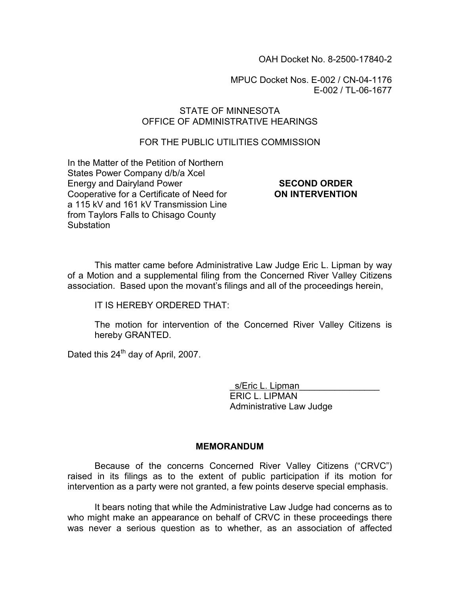OAH Docket No. 8-2500-17840-2

MPUC Docket Nos. E-002 / CN-04-1176 E-002 / TL-06-1677

## STATE OF MINNESOTA OFFICE OF ADMINISTRATIVE HEARINGS

## FOR THE PUBLIC UTILITIES COMMISSION

In the Matter of the Petition of Northern States Power Company d/b/a Xcel Energy and Dairyland Power Cooperative for a Certificate of Need for a 115 kV and 161 kV Transmission Line from Taylors Falls to Chisago County **Substation** 

#### SECOND ORDER ON INTERVENTION

This matter came before Administrative Law Judge Eric L. Lipman by way of a Motion and a supplemental filing from the Concerned River Valley Citizens association. Based upon the movant's filings and all of the proceedings herein,

IT IS HEREBY ORDERED THAT:

The motion for intervention of the Concerned River Valley Citizens is hereby GRANTED.

Dated this 24<sup>th</sup> day of April, 2007.

s/Eric L. Lipman ERIC L. LIPMAN Administrative Law Judge

### MEMORANDUM

 Because of the concerns Concerned River Valley Citizens ("CRVC") raised in its filings as to the extent of public participation if its motion for intervention as a party were not granted, a few points deserve special emphasis.

It bears noting that while the Administrative Law Judge had concerns as to who might make an appearance on behalf of CRVC in these proceedings there was never a serious question as to whether, as an association of affected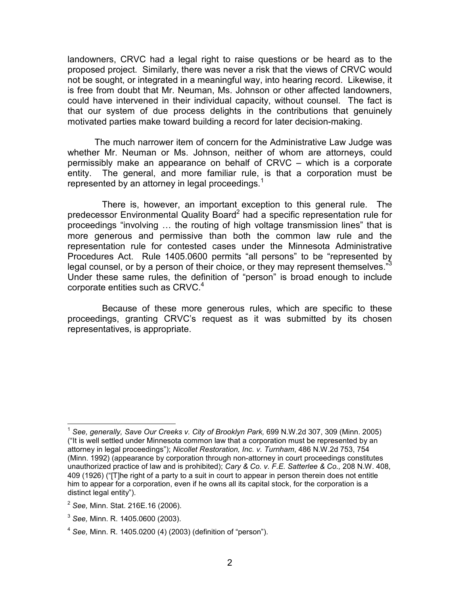landowners, CRVC had a legal right to raise questions or be heard as to the proposed project. Similarly, there was never a risk that the views of CRVC would not be sought, or integrated in a meaningful way, into hearing record. Likewise, it is free from doubt that Mr. Neuman, Ms. Johnson or other affected landowners, could have intervened in their individual capacity, without counsel. The fact is that our system of due process delights in the contributions that genuinely motivated parties make toward building a record for later decision-making.

The much narrower item of concern for the Administrative Law Judge was whether Mr. Neuman or Ms. Johnson, neither of whom are attorneys, could permissibly make an appearance on behalf of CRVC – which is a corporate entity. The general, and more familiar rule, is that a corporation must be represented by an attorney in legal proceedings. $<sup>1</sup>$ </sup>

 There is, however, an important exception to this general rule. The predecessor Environmental Quality Board<sup>2</sup> had a specific representation rule for proceedings "involving … the routing of high voltage transmission lines" that is more generous and permissive than both the common law rule and the representation rule for contested cases under the Minnesota Administrative Procedures Act. Rule 1405.0600 permits "all persons" to be "represented by legal counsel, or by a person of their choice, or they may represent themselves." $3$ Under these same rules, the definition of "person" is broad enough to include corporate entities such as CRVC.<sup>4</sup>

 Because of these more generous rules, which are specific to these proceedings, granting CRVC's request as it was submitted by its chosen representatives, is appropriate.

 $\frac{1}{2}$ 

<sup>1</sup> See, generally, Save Our Creeks v. City of Brooklyn Park, 699 N.W.2d 307, 309 (Minn. 2005) ("It is well settled under Minnesota common law that a corporation must be represented by an attorney in legal proceedings"); Nicollet Restoration, Inc. v. Turnham, 486 N.W.2d 753, 754 (Minn. 1992) (appearance by corporation through non-attorney in court proceedings constitutes unauthorized practice of law and is prohibited); Cary & Co. v. F.E. Satterlee & Co., 208 N.W. 408, 409 (1926) ("[T]he right of a party to a suit in court to appear in person therein does not entitle him to appear for a corporation, even if he owns all its capital stock, for the corporation is a distinct legal entity").

 $2$  See, Minn. Stat. 216E.16 (2006).

 $^3$  See, Minn. R. 1405.0600 (2003).

 $4$  See, Minn. R. 1405.0200 (4) (2003) (definition of "person").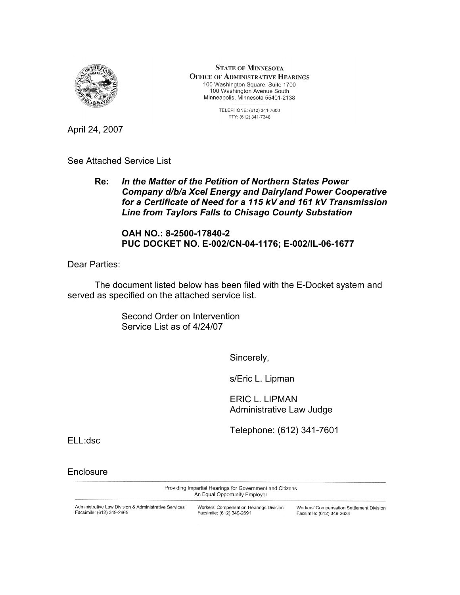

**STATE OF MINNESOTA OFFICE OF ADMINISTRATIVE HEARINGS** 100 Washington Square, Suite 1700 100 Washington Avenue South Minneapolis, Minnesota 55401-2138

> TELEPHONE: (612) 341-7600 TTY: (612) 341-7346

April 24, 2007

See Attached Service List

Re: In the Matter of the Petition of Northern States Power Company d/b/a Xcel Energy and Dairyland Power Cooperative for a Certificate of Need for a 115 kV and 161 kV Transmission Line from Taylors Falls to Chisago County Substation

OAH NO.: 8-2500-17840-2 PUC DOCKET NO. E-002/CN-04-1176; E-002/IL-06-1677

Dear Parties:

 The document listed below has been filed with the E-Docket system and served as specified on the attached service list.

> Second Order on Intervention Service List as of 4/24/07

> > Sincerely,

s/Eric L. Lipman

ERIC L. LIPMAN Administrative Law Judge

Telephone: (612) 341-7601

ELL:dsc

**Enclosure** 

Providing Impartial Hearings for Government and Citizens An Equal Opportunity Employer

Administrative Law Division & Administrative Services Facsimile: (612) 349-2665

Workers' Compensation Hearings Division Facsimile: (612) 349-2691

Workers' Compensation Settlement Division Facsimile: (612) 349-2634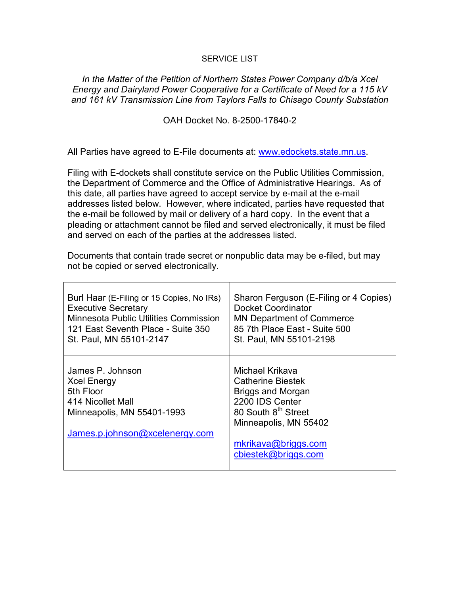#### SERVICE LIST

In the Matter of the Petition of Northern States Power Company d/b/a Xcel Energy and Dairyland Power Cooperative for a Certificate of Need for a 115 kV and 161 kV Transmission Line from Taylors Falls to Chisago County Substation

OAH Docket No. 8-2500-17840-2

All Parties have agreed to E-File documents at: www.edockets.state.mn.us.

Filing with E-dockets shall constitute service on the Public Utilities Commission, the Department of Commerce and the Office of Administrative Hearings. As of this date, all parties have agreed to accept service by e-mail at the e-mail addresses listed below. However, where indicated, parties have requested that the e-mail be followed by mail or delivery of a hard copy. In the event that a pleading or attachment cannot be filed and served electronically, it must be filed and served on each of the parties at the addresses listed.

Documents that contain trade secret or nonpublic data may be e-filed, but may not be copied or served electronically.

| Burl Haar (E-Filing or 15 Copies, No IRs)                                                                                                | Sharon Ferguson (E-Filing or 4 Copies)                                                                                                                                                               |
|------------------------------------------------------------------------------------------------------------------------------------------|------------------------------------------------------------------------------------------------------------------------------------------------------------------------------------------------------|
| <b>Executive Secretary</b>                                                                                                               | Docket Coordinator                                                                                                                                                                                   |
| <b>Minnesota Public Utilities Commission</b>                                                                                             | <b>MN Department of Commerce</b>                                                                                                                                                                     |
| 121 East Seventh Place - Suite 350                                                                                                       | 85 7th Place East - Suite 500                                                                                                                                                                        |
| St. Paul, MN 55101-2147                                                                                                                  | St. Paul, MN 55101-2198                                                                                                                                                                              |
| James P. Johnson<br><b>Xcel Energy</b><br>5th Floor<br>414 Nicollet Mall<br>Minneapolis, MN 55401-1993<br>James.p.johnson@xcelenergy.com | Michael Krikava<br><b>Catherine Biestek</b><br><b>Briggs and Morgan</b><br>2200 IDS Center<br>80 South 8 <sup>th</sup> Street<br>Minneapolis, MN 55402<br>mkrikava@briggs.com<br>cbiestek@briggs.com |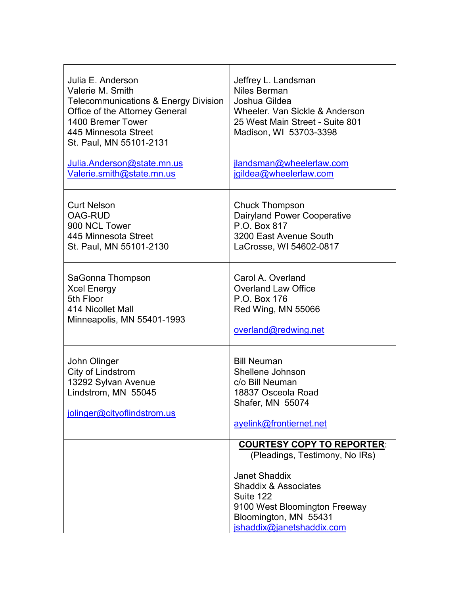| Julia E. Anderson<br>Valerie M. Smith<br><b>Telecommunications &amp; Energy Division</b><br>Office of the Attorney General<br>1400 Bremer Tower<br>445 Minnesota Street<br>St. Paul, MN 55101-2131 | Jeffrey L. Landsman<br>Niles Berman<br>Joshua Gildea<br>Wheeler, Van Sickle & Anderson<br>25 West Main Street - Suite 801<br>Madison, WI 53703-3398                                                                                |
|----------------------------------------------------------------------------------------------------------------------------------------------------------------------------------------------------|------------------------------------------------------------------------------------------------------------------------------------------------------------------------------------------------------------------------------------|
| Julia.Anderson@state.mn.us                                                                                                                                                                         | jlandsman@wheelerlaw.com                                                                                                                                                                                                           |
| Valerie.smith@state.mn.us                                                                                                                                                                          | jgildea@wheelerlaw.com                                                                                                                                                                                                             |
| <b>Curt Nelson</b>                                                                                                                                                                                 | <b>Chuck Thompson</b>                                                                                                                                                                                                              |
| <b>OAG-RUD</b>                                                                                                                                                                                     | Dairyland Power Cooperative                                                                                                                                                                                                        |
| 900 NCL Tower                                                                                                                                                                                      | P.O. Box 817                                                                                                                                                                                                                       |
| 445 Minnesota Street                                                                                                                                                                               | 3200 East Avenue South                                                                                                                                                                                                             |
| St. Paul, MN 55101-2130                                                                                                                                                                            | LaCrosse, WI 54602-0817                                                                                                                                                                                                            |
| SaGonna Thompson                                                                                                                                                                                   | Carol A. Overland                                                                                                                                                                                                                  |
| <b>Xcel Energy</b>                                                                                                                                                                                 | <b>Overland Law Office</b>                                                                                                                                                                                                         |
| 5th Floor                                                                                                                                                                                          | P.O. Box 176                                                                                                                                                                                                                       |
| 414 Nicollet Mall                                                                                                                                                                                  | Red Wing, MN 55066                                                                                                                                                                                                                 |
| Minneapolis, MN 55401-1993                                                                                                                                                                         | overland@redwing.net                                                                                                                                                                                                               |
| John Olinger<br>City of Lindstrom<br>13292 Sylvan Avenue<br>Lindstrom, MN 55045<br>jolinger@cityoflindstrom.us                                                                                     | <b>Bill Neuman</b><br>Shellene Johnson<br>c/o Bill Neuman<br>18837 Osceola Road<br>Shafer, MN 55074<br>ayelink@frontiernet.net                                                                                                     |
|                                                                                                                                                                                                    | <b>COURTESY COPY TO REPORTER:</b><br>(Pleadings, Testimony, No IRs)<br><b>Janet Shaddix</b><br><b>Shaddix &amp; Associates</b><br>Suite 122<br>9100 West Bloomington Freeway<br>Bloomington, MN 55431<br>jshaddix@janetshaddix.com |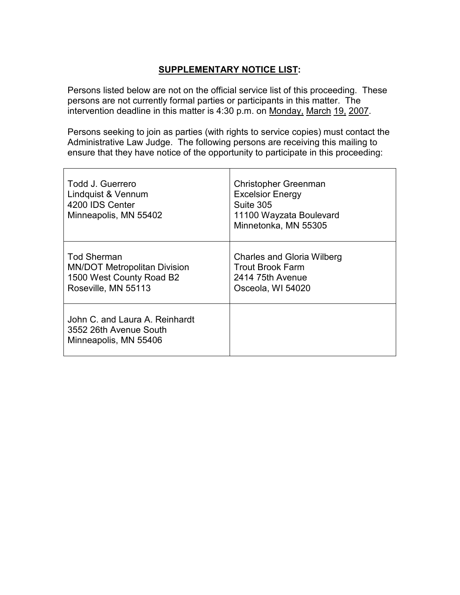# SUPPLEMENTARY NOTICE LIST:

Persons listed below are not on the official service list of this proceeding. These persons are not currently formal parties or participants in this matter. The intervention deadline in this matter is 4:30 p.m. on Monday, March 19, 2007.

Persons seeking to join as parties (with rights to service copies) must contact the Administrative Law Judge. The following persons are receiving this mailing to ensure that they have notice of the opportunity to participate in this proceeding:

| Todd J. Guerrero<br>Lindquist & Vennum<br>4200 IDS Center<br>Minneapolis, MN 55402                           | Christopher Greenman<br><b>Excelsior Energy</b><br>Suite 305<br>11100 Wayzata Boulevard<br>Minnetonka, MN 55305 |
|--------------------------------------------------------------------------------------------------------------|-----------------------------------------------------------------------------------------------------------------|
| <b>Tod Sherman</b><br><b>MN/DOT Metropolitan Division</b><br>1500 West County Road B2<br>Roseville, MN 55113 | <b>Charles and Gloria Wilberg</b><br>Trout Brook Farm<br>2414 75th Avenue<br>Osceola, WI 54020                  |
| John C. and Laura A. Reinhardt<br>3552 26th Avenue South<br>Minneapolis, MN 55406                            |                                                                                                                 |